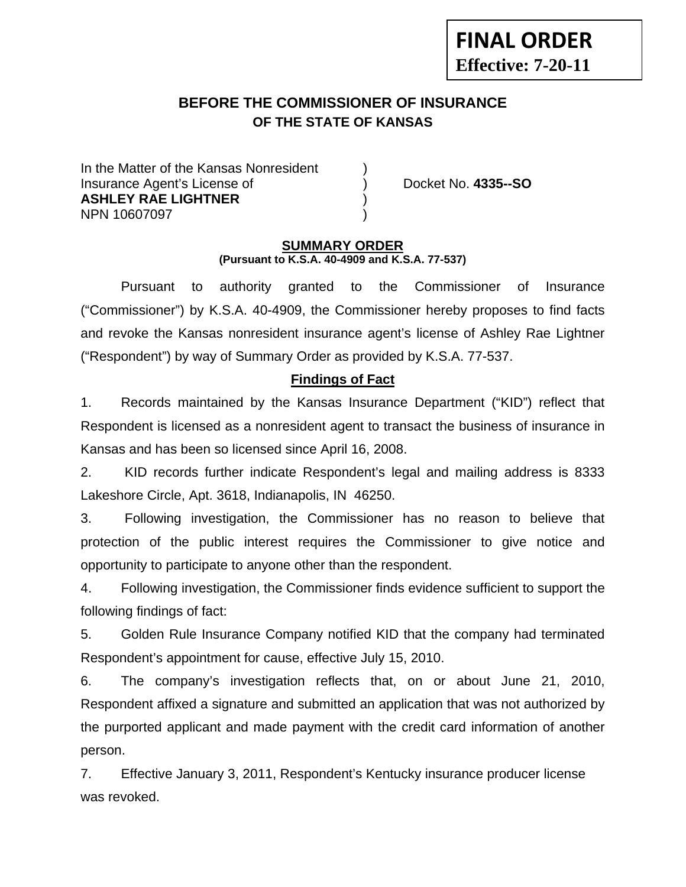# **BEFORE THE COMMISSIONER OF INSURANCE OF THE STATE OF KANSAS**

In the Matter of the Kansas Nonresident Insurance Agent's License of ) Docket No. **4335--SO ASHLEY RAE LIGHTNER** ) NPN 10607097 )

**FINAL ORDER**

**Effective: 7-20-11** 

#### **SUMMARY ORDER (Pursuant to K.S.A. 40-4909 and K.S.A. 77-537)**

 Pursuant to authority granted to the Commissioner of Insurance ("Commissioner") by K.S.A. 40-4909, the Commissioner hereby proposes to find facts and revoke the Kansas nonresident insurance agent's license of Ashley Rae Lightner ("Respondent") by way of Summary Order as provided by K.S.A. 77-537.

## **Findings of Fact**

1. Records maintained by the Kansas Insurance Department ("KID") reflect that Respondent is licensed as a nonresident agent to transact the business of insurance in Kansas and has been so licensed since April 16, 2008.

2. KID records further indicate Respondent's legal and mailing address is 8333 Lakeshore Circle, Apt. 3618, Indianapolis, IN 46250.

3. Following investigation, the Commissioner has no reason to believe that protection of the public interest requires the Commissioner to give notice and opportunity to participate to anyone other than the respondent.

4. Following investigation, the Commissioner finds evidence sufficient to support the following findings of fact:

5. Golden Rule Insurance Company notified KID that the company had terminated Respondent's appointment for cause, effective July 15, 2010.

6. The company's investigation reflects that, on or about June 21, 2010, Respondent affixed a signature and submitted an application that was not authorized by the purported applicant and made payment with the credit card information of another person.

7. Effective January 3, 2011, Respondent's Kentucky insurance producer license was revoked.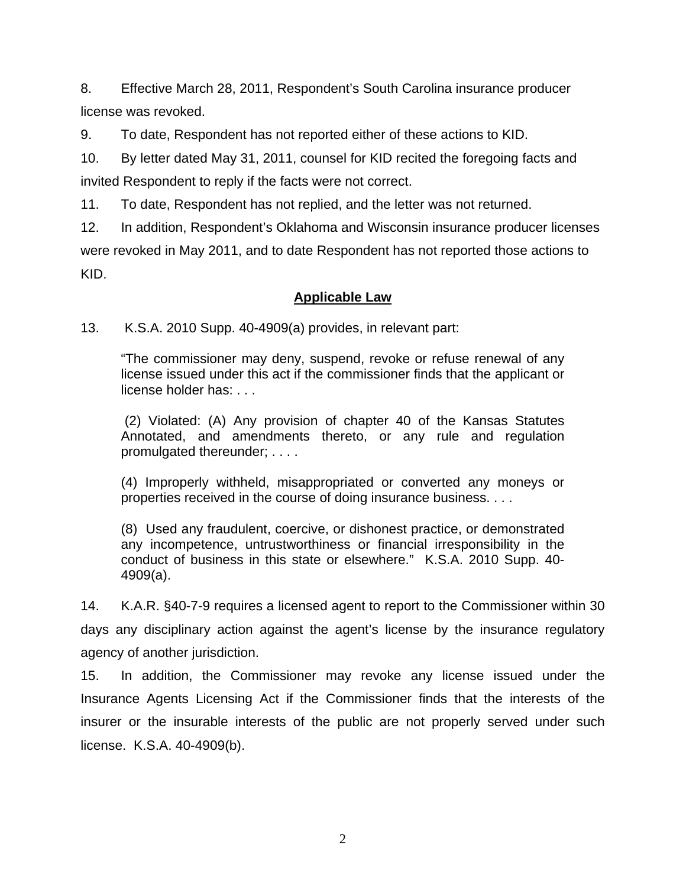8. Effective March 28, 2011, Respondent's South Carolina insurance producer license was revoked.

9. To date, Respondent has not reported either of these actions to KID.

10. By letter dated May 31, 2011, counsel for KID recited the foregoing facts and invited Respondent to reply if the facts were not correct.

11. To date, Respondent has not replied, and the letter was not returned.

12. In addition, Respondent's Oklahoma and Wisconsin insurance producer licenses were revoked in May 2011, and to date Respondent has not reported those actions to KID.

## **Applicable Law**

13. K.S.A. 2010 Supp. 40-4909(a) provides, in relevant part:

"The commissioner may deny, suspend, revoke or refuse renewal of any license issued under this act if the commissioner finds that the applicant or license holder has: . . .

 (2) Violated: (A) Any provision of chapter 40 of the Kansas Statutes Annotated, and amendments thereto, or any rule and regulation promulgated thereunder; . . . .

(4) Improperly withheld, misappropriated or converted any moneys or properties received in the course of doing insurance business. . . .

(8) Used any fraudulent, coercive, or dishonest practice, or demonstrated any incompetence, untrustworthiness or financial irresponsibility in the conduct of business in this state or elsewhere." K.S.A. 2010 Supp. 40- 4909(a).

14. K.A.R. §40-7-9 requires a licensed agent to report to the Commissioner within 30 days any disciplinary action against the agent's license by the insurance regulatory agency of another jurisdiction.

15. In addition, the Commissioner may revoke any license issued under the Insurance Agents Licensing Act if the Commissioner finds that the interests of the insurer or the insurable interests of the public are not properly served under such license. K.S.A. 40-4909(b).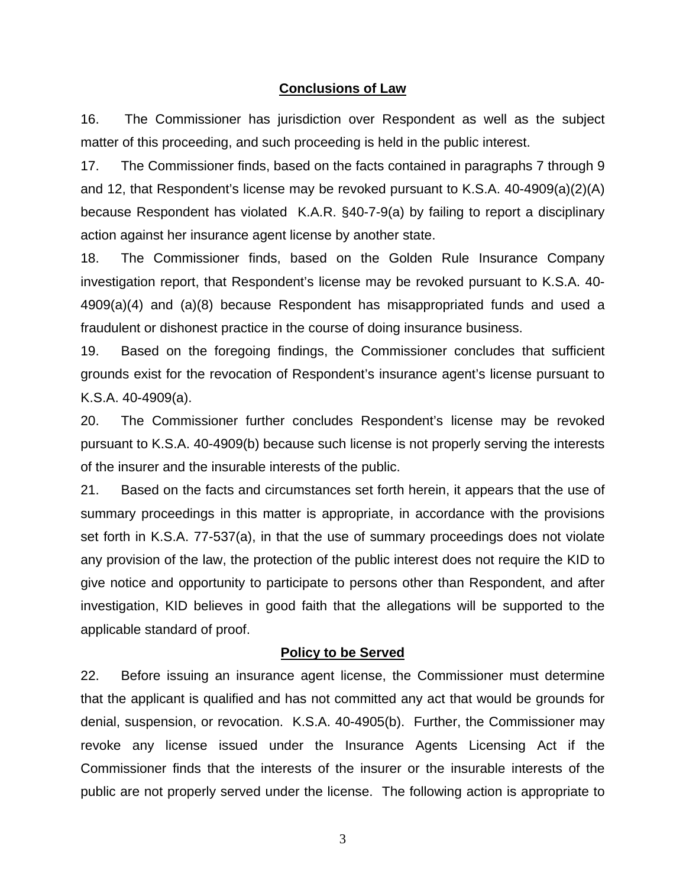#### **Conclusions of Law**

16. The Commissioner has jurisdiction over Respondent as well as the subject matter of this proceeding, and such proceeding is held in the public interest.

17. The Commissioner finds, based on the facts contained in paragraphs 7 through 9 and 12, that Respondent's license may be revoked pursuant to K.S.A. 40-4909(a)(2)(A) because Respondent has violated K.A.R. §40-7-9(a) by failing to report a disciplinary action against her insurance agent license by another state.

18. The Commissioner finds, based on the Golden Rule Insurance Company investigation report, that Respondent's license may be revoked pursuant to K.S.A. 40- 4909(a)(4) and (a)(8) because Respondent has misappropriated funds and used a fraudulent or dishonest practice in the course of doing insurance business.

19. Based on the foregoing findings, the Commissioner concludes that sufficient grounds exist for the revocation of Respondent's insurance agent's license pursuant to K.S.A. 40-4909(a).

20. The Commissioner further concludes Respondent's license may be revoked pursuant to K.S.A. 40-4909(b) because such license is not properly serving the interests of the insurer and the insurable interests of the public.

21. Based on the facts and circumstances set forth herein, it appears that the use of summary proceedings in this matter is appropriate, in accordance with the provisions set forth in K.S.A. 77-537(a), in that the use of summary proceedings does not violate any provision of the law, the protection of the public interest does not require the KID to give notice and opportunity to participate to persons other than Respondent, and after investigation, KID believes in good faith that the allegations will be supported to the applicable standard of proof.

#### **Policy to be Served**

22. Before issuing an insurance agent license, the Commissioner must determine that the applicant is qualified and has not committed any act that would be grounds for denial, suspension, or revocation. K.S.A. 40-4905(b). Further, the Commissioner may revoke any license issued under the Insurance Agents Licensing Act if the Commissioner finds that the interests of the insurer or the insurable interests of the public are not properly served under the license. The following action is appropriate to

3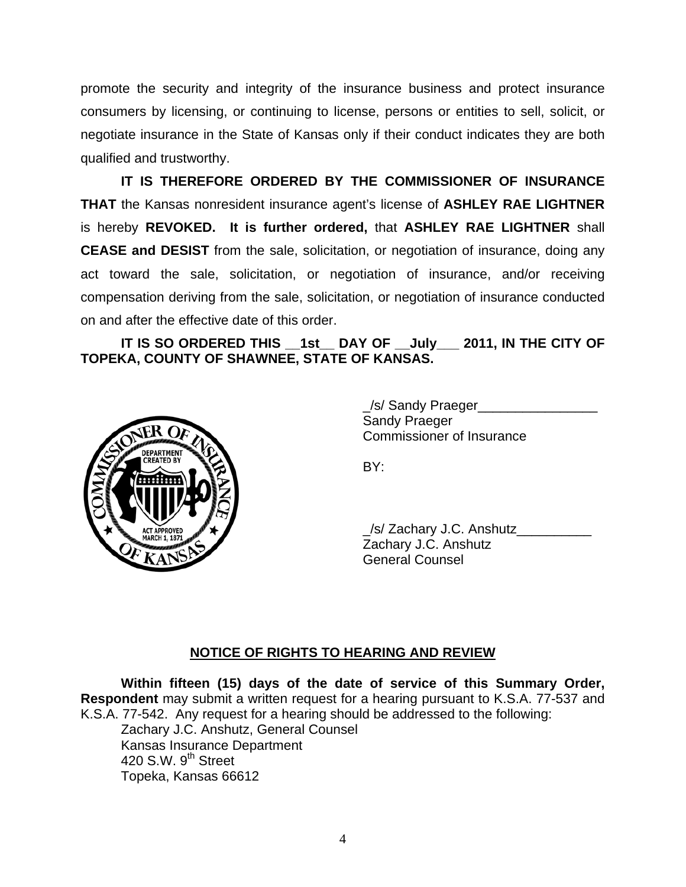promote the security and integrity of the insurance business and protect insurance consumers by licensing, or continuing to license, persons or entities to sell, solicit, or negotiate insurance in the State of Kansas only if their conduct indicates they are both qualified and trustworthy.

 **IT IS THEREFORE ORDERED BY THE COMMISSIONER OF INSURANCE THAT** the Kansas nonresident insurance agent's license of **ASHLEY RAE LIGHTNER**  is hereby **REVOKED. It is further ordered,** that **ASHLEY RAE LIGHTNER** shall **CEASE and DESIST** from the sale, solicitation, or negotiation of insurance, doing any act toward the sale, solicitation, or negotiation of insurance, and/or receiving compensation deriving from the sale, solicitation, or negotiation of insurance conducted on and after the effective date of this order.

 **IT IS SO ORDERED THIS \_\_1st\_\_ DAY OF \_\_July\_\_\_ 2011, IN THE CITY OF TOPEKA, COUNTY OF SHAWNEE, STATE OF KANSAS.** 



 \_/s/ Sandy Praeger\_\_\_\_\_\_\_\_\_\_\_\_\_\_\_\_ Sandy Praeger Commissioner of Insurance

 \_/s/ Zachary J.C. Anshutz\_\_\_\_\_\_\_\_\_\_ Zachary J.C. Anshutz General Counsel

## **NOTICE OF RIGHTS TO HEARING AND REVIEW**

**Within fifteen (15) days of the date of service of this Summary Order, Respondent** may submit a written request for a hearing pursuant to K.S.A. 77-537 and K.S.A. 77-542. Any request for a hearing should be addressed to the following:

 Zachary J.C. Anshutz, General Counsel Kansas Insurance Department 420 S.W.  $9<sup>th</sup>$  Street Topeka, Kansas 66612